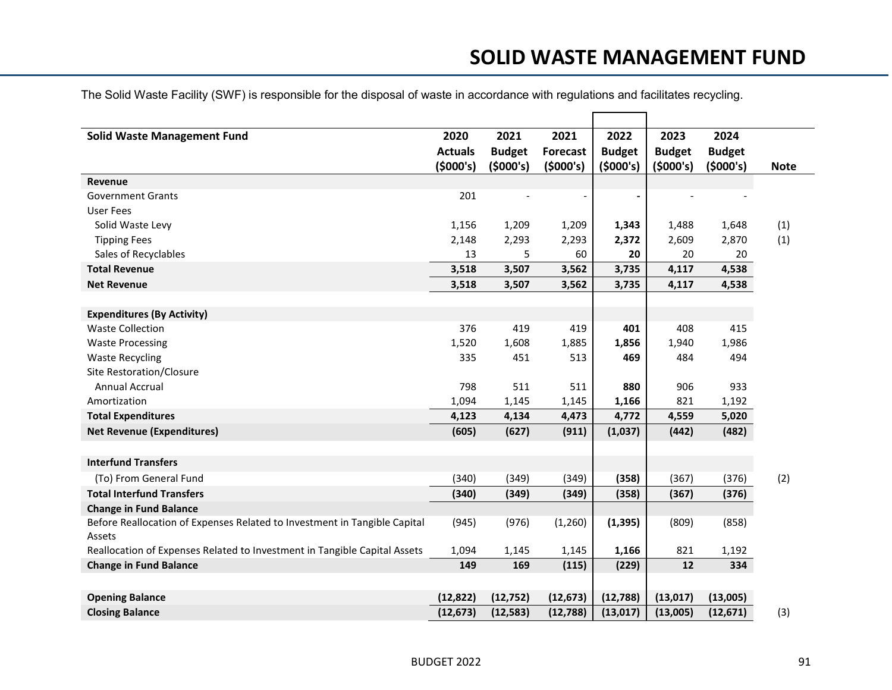## **SOLID WASTE MANAGEMENT FUND**

| <b>Solid Waste Management Fund</b>                                                  | 2020           | 2021          | 2021            | 2022          | 2023          | 2024          |             |
|-------------------------------------------------------------------------------------|----------------|---------------|-----------------|---------------|---------------|---------------|-------------|
|                                                                                     | <b>Actuals</b> | <b>Budget</b> | <b>Forecast</b> | <b>Budget</b> | <b>Budget</b> | <b>Budget</b> |             |
|                                                                                     | (5000's)       | (5000's)      | (5000's)        | (5000's)      | (5000's)      | (5000's)      | <b>Note</b> |
| Revenue                                                                             |                |               |                 |               |               |               |             |
| <b>Government Grants</b>                                                            | 201            |               |                 |               |               |               |             |
| User Fees                                                                           |                |               |                 |               |               |               |             |
| Solid Waste Levy                                                                    | 1,156          | 1,209         | 1,209           | 1,343         | 1,488         | 1,648         | (1)         |
| <b>Tipping Fees</b>                                                                 | 2,148          | 2,293         | 2,293           | 2,372         | 2,609         | 2,870         | (1)         |
| Sales of Recyclables                                                                | 13             | 5             | 60              | 20            | 20            | 20            |             |
| <b>Total Revenue</b>                                                                | 3,518          | 3,507         | 3,562           | 3,735         | 4,117         | 4,538         |             |
| <b>Net Revenue</b>                                                                  | 3,518          | 3,507         | 3,562           | 3,735         | 4,117         | 4,538         |             |
|                                                                                     |                |               |                 |               |               |               |             |
| <b>Expenditures (By Activity)</b>                                                   |                |               |                 |               |               |               |             |
| <b>Waste Collection</b>                                                             | 376            | 419           | 419             | 401           | 408           | 415           |             |
| <b>Waste Processing</b>                                                             | 1,520          | 1,608         | 1,885           | 1,856         | 1,940         | 1,986         |             |
| <b>Waste Recycling</b>                                                              | 335            | 451           | 513             | 469           | 484           | 494           |             |
| Site Restoration/Closure                                                            |                |               |                 |               |               |               |             |
| <b>Annual Accrual</b>                                                               | 798            | 511           | 511             | 880           | 906           | 933           |             |
| Amortization                                                                        | 1,094          | 1,145         | 1,145           | 1,166         | 821           | 1,192         |             |
| <b>Total Expenditures</b>                                                           | 4,123          | 4,134         | 4,473           | 4,772         | 4,559         | 5,020         |             |
| <b>Net Revenue (Expenditures)</b>                                                   | (605)          | (627)         | (911)           | (1,037)       | (442)         | (482)         |             |
|                                                                                     |                |               |                 |               |               |               |             |
| <b>Interfund Transfers</b>                                                          |                |               |                 |               |               |               |             |
| (To) From General Fund                                                              | (340)          | (349)         | (349)           | (358)         | (367)         | (376)         | (2)         |
| <b>Total Interfund Transfers</b>                                                    | (340)          | (349)         | (349)           | (358)         | (367)         | (376)         |             |
| <b>Change in Fund Balance</b>                                                       |                |               |                 |               |               |               |             |
| Before Reallocation of Expenses Related to Investment in Tangible Capital<br>Assets | (945)          | (976)         | (1,260)         | (1, 395)      | (809)         | (858)         |             |
| Reallocation of Expenses Related to Investment in Tangible Capital Assets           | 1,094          | 1,145         | 1,145           | 1,166         | 821           | 1,192         |             |
| <b>Change in Fund Balance</b>                                                       | 149            | 169           | (115)           | (229)         | 12            | 334           |             |
|                                                                                     |                |               |                 |               |               |               |             |
| <b>Opening Balance</b>                                                              | (12, 822)      | (12, 752)     | (12, 673)       | (12,788)      | (13, 017)     | (13,005)      |             |
| <b>Closing Balance</b>                                                              | (12, 673)      | (12, 583)     | (12, 788)       | (13, 017)     | (13,005)      | (12, 671)     | (3)         |

The Solid Waste Facility (SWF) is responsible for the disposal of waste in accordance with regulations and facilitates recycling.